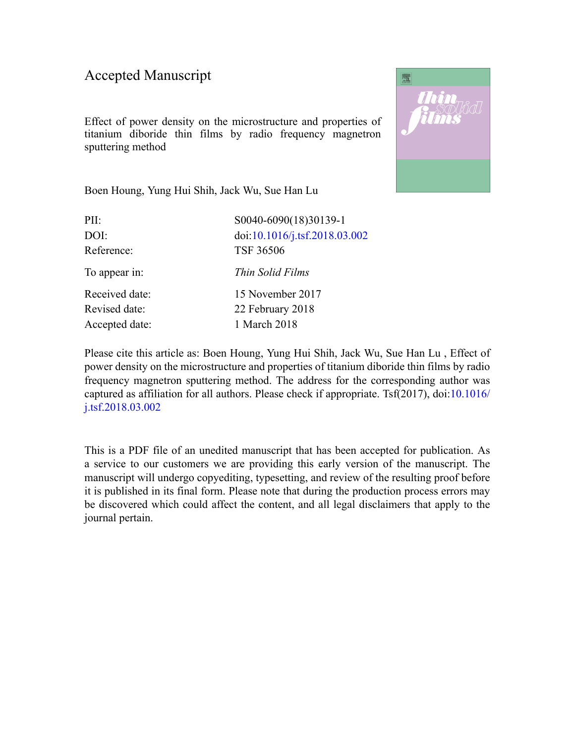## Accepted Manuscript

Effect of power density on the microstructure and properties of titanium diboride thin films by radio frequency magnetron sputtering method



Boen Houng, Yung Hui Shih, Jack Wu, Sue Han Lu

| PII:           | S0040-6090(18)30139-1         |
|----------------|-------------------------------|
| DOI:           | doi:10.1016/j.tsf.2018.03.002 |
| Reference:     | <b>TSF 36506</b>              |
| To appear in:  | Thin Solid Films              |
| Received date: | 15 November 2017              |
| Revised date:  | 22 February 2018              |
| Accepted date: | 1 March 2018                  |

Please cite this article as: Boen Houng, Yung Hui Shih, Jack Wu, Sue Han Lu , Effect of power density on the microstructure and properties of titanium diboride thin films by radio frequency magnetron sputtering method. The address for the corresponding author was captured as affiliation for all authors. Please check if appropriate. Tsf(2017), doi:[10.1016/](https://doi.org/10.1016/j.tsf.2018.03.002) [j.tsf.2018.03.002](https://doi.org/10.1016/j.tsf.2018.03.002)

This is a PDF file of an unedited manuscript that has been accepted for publication. As a service to our customers we are providing this early version of the manuscript. The manuscript will undergo copyediting, typesetting, and review of the resulting proof before it is published in its final form. Please note that during the production process errors may be discovered which could affect the content, and all legal disclaimers that apply to the journal pertain.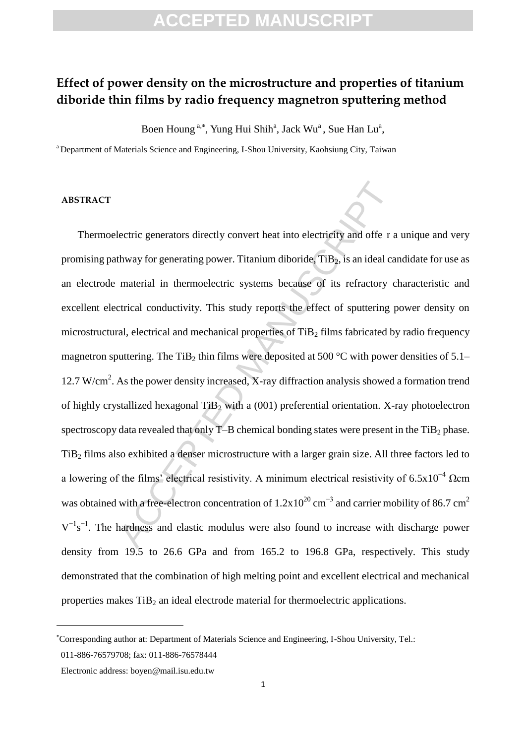## **ACCEPTED MANUSCRIPT**

## **Effect of power density on the microstructure and properties of titanium diboride thin films by radio frequency magnetron sputtering method**

Boen Houng<sup>a,\*</sup>, Yung Hui Shih<sup>a</sup>, Jack Wu<sup>a</sup>, Sue Han Lu<sup>a</sup>,

<sup>a</sup> Department of Materials Science and Engineering, I-Shou University, Kaohsiung City, Taiwan

## **ABSTRACT**

lectric generators directly convert heat into electricity and offe r a<br>thway for generating power. Titanium diboride, TiB<sub>2</sub>, is an ideal ca<br>material in thermoelectric systems because of its refractory c<br>trical conductivi Thermoelectric generators directly convert heat into electricity and offe r a unique and very promising pathway for generating power. Titanium diboride,  $TiB<sub>2</sub>$ , is an ideal candidate for use as an electrode material in thermoelectric systems because of its refractory characteristic and excellent electrical conductivity. This study reports the effect of sputtering power density on microstructural, electrical and mechanical properties of TiB<sub>2</sub> films fabricated by radio frequency magnetron sputtering. The TiB<sub>2</sub> thin films were deposited at 500 °C with power densities of 5.1– 12.7 W/cm<sup>2</sup>. As the power density increased, X-ray diffraction analysis showed a formation trend of highly crystallized hexagonal  $TiB<sub>2</sub>$  with a (001) preferential orientation. X-ray photoelectron spectroscopy data revealed that only  $T$ –B chemical bonding states were present in the  $TiB<sub>2</sub>$  phase. TiB<sup>2</sup> films also exhibited a denser microstructure with a larger grain size. All three factors led to a lowering of the films' electrical resistivity. A minimum electrical resistivity of 6.5x10−4 Ωcm was obtained with a free-electron concentration of  $1.2x10^{20}$  cm<sup>-3</sup> and carrier mobility of 86.7 cm<sup>2</sup>  $V^{-1}s^{-1}$ . The hardness and elastic modulus were also found to increase with discharge power density from 19.5 to 26.6 GPa and from 165.2 to 196.8 GPa, respectively. This study demonstrated that the combination of high melting point and excellent electrical and mechanical properties makes  $TiB<sub>2</sub>$  an ideal electrode material for thermoelectric applications.

 $\overline{a}$ 

Corresponding author at: Department of Materials Science and Engineering, I-Shou University, Tel.:

<sup>011-886-76579708;</sup> fax: 011-886-76578444

Electronic address: boyen@mail.isu.edu.tw